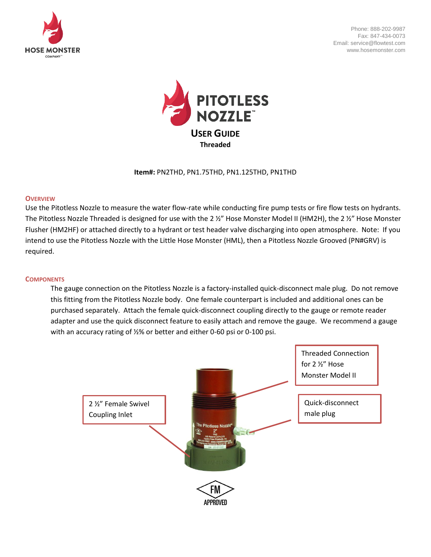

Phone: 888-202-9987 Fax: 847-434-0073 Email: service@flowtest.com www.hosemonster.com



**Item#:** PN2THD, PN1.75THD, PN1.125THD, PN1THD

#### **OVERVIEW**

Use the Pitotless Nozzle to measure the water flow-rate while conducting fire pump tests or fire flow tests on hydrants. The Pitotless Nozzle Threaded is designed for use with the 2 ½" Hose Monster Model II (HM2H), the 2 ½" Hose Monster Flusher (HM2HF) or attached directly to a hydrant or test header valve discharging into open atmosphere. Note: If you intend to use the Pitotless Nozzle with the Little Hose Monster (HML), then a Pitotless Nozzle Grooved (PN#GRV) is required.

#### **COMPONENTS**

The gauge connection on the Pitotless Nozzle is a factory-installed quick-disconnect male plug. Do not remove this fitting from the Pitotless Nozzle body. One female counterpart is included and additional ones can be purchased separately. Attach the female quick-disconnect coupling directly to the gauge or remote reader adapter and use the quick disconnect feature to easily attach and remove the gauge. We recommend a gauge with an accuracy rating of ½% or better and either 0-60 psi or 0-100 psi.

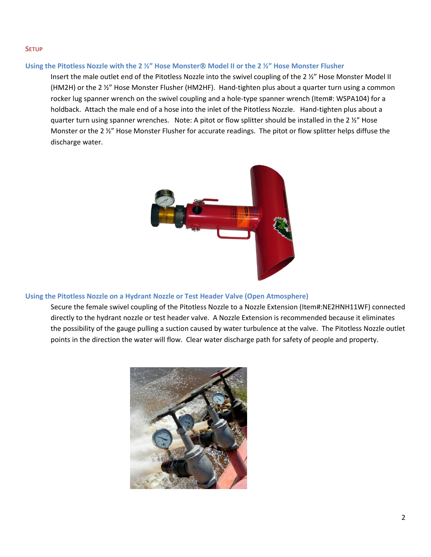#### **SETUP**

## **Using the Pitotless Nozzle with the 2 ½" Hose Monster Model II or the 2 ½" Hose Monster Flusher**

Insert the male outlet end of the Pitotless Nozzle into the swivel coupling of the 2 ½" Hose Monster Model II (HM2H) or the 2 ½" Hose Monster Flusher (HM2HF). Hand-tighten plus about a quarter turn using a common rocker lug spanner wrench on the swivel coupling and a hole-type spanner wrench (Item#: WSPA104) for a holdback. Attach the male end of a hose into the inlet of the Pitotless Nozzle. Hand-tighten plus about a quarter turn using spanner wrenches. Note: A pitot or flow splitter should be installed in the 2 ½" Hose Monster or the 2 ½" Hose Monster Flusher for accurate readings. The pitot or flow splitter helps diffuse the discharge water.



### **Using the Pitotless Nozzle on a Hydrant Nozzle or Test Header Valve (Open Atmosphere)**

Secure the female swivel coupling of the Pitotless Nozzle to a Nozzle Extension (Item#:NE2HNH11WF) connected directly to the hydrant nozzle or test header valve. A Nozzle Extension is recommended because it eliminates the possibility of the gauge pulling a suction caused by water turbulence at the valve. The Pitotless Nozzle outlet points in the direction the water will flow. Clear water discharge path for safety of people and property.